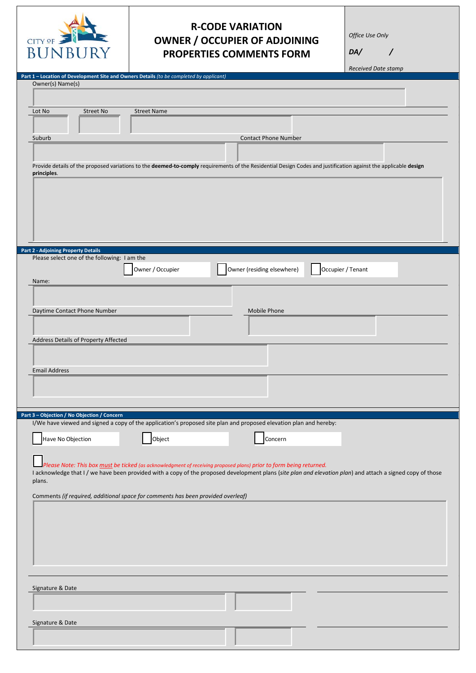

## **R-CODE VARIATION OWNER / OCCUPIER OF ADJOINING PROPERTIES COMMENTS FORM**

*Office Use Only*

*DA/* /

*Received Date stamp*

| Owner(s) Name(s)                                                                                                                                                               |
|--------------------------------------------------------------------------------------------------------------------------------------------------------------------------------|
|                                                                                                                                                                                |
|                                                                                                                                                                                |
| Lot No<br><b>Street No</b><br><b>Street Name</b>                                                                                                                               |
|                                                                                                                                                                                |
| <b>Contact Phone Number</b><br>Suburb                                                                                                                                          |
|                                                                                                                                                                                |
|                                                                                                                                                                                |
| Provide details of the proposed variations to the deemed-to-comply requirements of the Residential Design Codes and justification against the applicable design<br>principles. |
|                                                                                                                                                                                |
|                                                                                                                                                                                |
|                                                                                                                                                                                |
|                                                                                                                                                                                |
|                                                                                                                                                                                |
|                                                                                                                                                                                |
| <b>Part 2 - Adjoining Property Details</b>                                                                                                                                     |
| Please select one of the following: I am the                                                                                                                                   |
| Owner / Occupier<br>Owner (residing elsewhere)<br>Occupier / Tenant                                                                                                            |
| Name:                                                                                                                                                                          |
|                                                                                                                                                                                |
|                                                                                                                                                                                |
| Daytime Contact Phone Number<br>Mobile Phone                                                                                                                                   |
|                                                                                                                                                                                |
| Address Details of Property Affected                                                                                                                                           |
|                                                                                                                                                                                |
|                                                                                                                                                                                |
| <b>Email Address</b>                                                                                                                                                           |
|                                                                                                                                                                                |
|                                                                                                                                                                                |
|                                                                                                                                                                                |
|                                                                                                                                                                                |
|                                                                                                                                                                                |
| I/We have viewed and signed a copy of the application's proposed site plan and proposed elevation plan and hereby:                                                             |
| Have No Objection<br>Object<br>Concern                                                                                                                                         |
|                                                                                                                                                                                |
| Please Note: This box must be ticked (as acknowledgment of receiving proposed plans) prior to form being returned.                                                             |
| I acknowledge that I / we have been provided with a copy of the proposed development plans (site plan and elevation plan) and attach a signed copy of those                    |
| plans.                                                                                                                                                                         |
| Part 3 - Objection / No Objection / Concern<br>Comments (if required, additional space for comments has been provided overleaf)                                                |
|                                                                                                                                                                                |
|                                                                                                                                                                                |
|                                                                                                                                                                                |
|                                                                                                                                                                                |
|                                                                                                                                                                                |
|                                                                                                                                                                                |
|                                                                                                                                                                                |
|                                                                                                                                                                                |
| Signature & Date                                                                                                                                                               |
|                                                                                                                                                                                |
|                                                                                                                                                                                |
| Signature & Date                                                                                                                                                               |
|                                                                                                                                                                                |